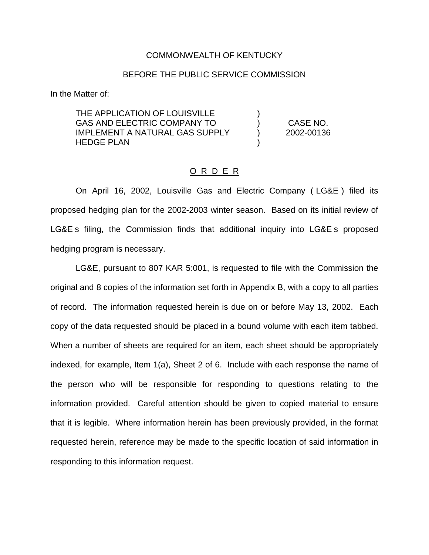### COMMONWEALTH OF KENTUCKY

### BEFORE THE PUBLIC SERVICE COMMISSION

In the Matter of:

THE APPLICATION OF LOUISVILLE GAS AND ELECTRIC COMPANY TO IMPLEMENT A NATURAL GAS SUPPLY HEDGE PLAN

) CASE NO. ) 2002-00136

)

)

### O R D E R

On April 16, 2002, Louisville Gas and Electric Company ( LG&E ) filed its proposed hedging plan for the 2002-2003 winter season. Based on its initial review of LG&E s filing, the Commission finds that additional inquiry into LG&E s proposed hedging program is necessary.

LG&E, pursuant to 807 KAR 5:001, is requested to file with the Commission the original and 8 copies of the information set forth in Appendix B, with a copy to all parties of record. The information requested herein is due on or before May 13, 2002. Each copy of the data requested should be placed in a bound volume with each item tabbed. When a number of sheets are required for an item, each sheet should be appropriately indexed, for example, Item 1(a), Sheet 2 of 6. Include with each response the name of the person who will be responsible for responding to questions relating to the information provided. Careful attention should be given to copied material to ensure that it is legible. Where information herein has been previously provided, in the format requested herein, reference may be made to the specific location of said information in responding to this information request.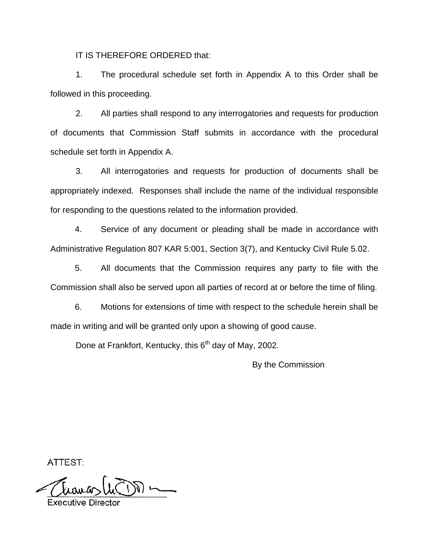IT IS THEREFORE ORDERED that:

1. The procedural schedule set forth in Appendix A to this Order shall be followed in this proceeding.

2. All parties shall respond to any interrogatories and requests for production of documents that Commission Staff submits in accordance with the procedural schedule set forth in Appendix A.

3. All interrogatories and requests for production of documents shall be appropriately indexed. Responses shall include the name of the individual responsible for responding to the questions related to the information provided.

4. Service of any document or pleading shall be made in accordance with Administrative Regulation 807 KAR 5:001, Section 3(7), and Kentucky Civil Rule 5.02.

5. All documents that the Commission requires any party to file with the Commission shall also be served upon all parties of record at or before the time of filing.

6. Motions for extensions of time with respect to the schedule herein shall be made in writing and will be granted only upon a showing of good cause.

Done at Frankfort, Kentucky, this 6<sup>th</sup> day of May, 2002.

By the Commission

ATTEST: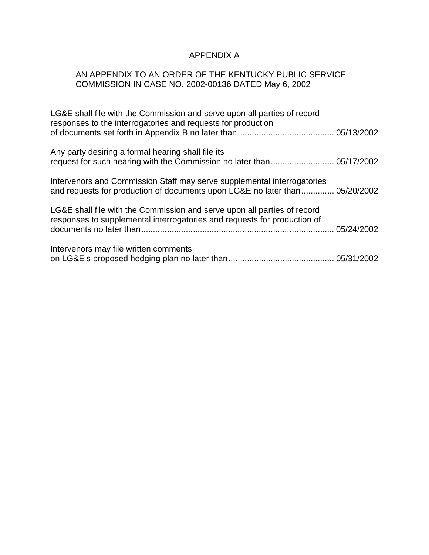# APPENDIX A

# AN APPENDIX TO AN ORDER OF THE KENTUCKY PUBLIC SERVICE COMMISSION IN CASE NO. 2002-00136 DATED May 6, 2002

| LG&E shall file with the Commission and serve upon all parties of record<br>responses to the interrogatories and requests for production                |  |
|---------------------------------------------------------------------------------------------------------------------------------------------------------|--|
| Any party desiring a formal hearing shall file its                                                                                                      |  |
| Intervenors and Commission Staff may serve supplemental interrogatories<br>and requests for production of documents upon LG&E no later than  05/20/2002 |  |
| LG&E shall file with the Commission and serve upon all parties of record<br>responses to supplemental interrogatories and requests for production of    |  |
| Intervenors may file written comments                                                                                                                   |  |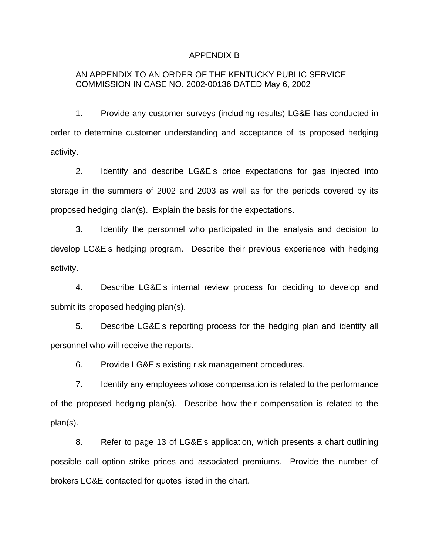#### APPENDIX B

### AN APPENDIX TO AN ORDER OF THE KENTUCKY PUBLIC SERVICE COMMISSION IN CASE NO. 2002-00136 DATED May 6, 2002

1. Provide any customer surveys (including results) LG&E has conducted in order to determine customer understanding and acceptance of its proposed hedging activity.

2. Identify and describe LG&E s price expectations for gas injected into storage in the summers of 2002 and 2003 as well as for the periods covered by its proposed hedging plan(s). Explain the basis for the expectations.

3. Identify the personnel who participated in the analysis and decision to develop LG&E s hedging program. Describe their previous experience with hedging activity.

4. Describe LG&E s internal review process for deciding to develop and submit its proposed hedging plan(s).

5. Describe LG&E s reporting process for the hedging plan and identify all personnel who will receive the reports.

6. Provide LG&E s existing risk management procedures.

7. Identify any employees whose compensation is related to the performance of the proposed hedging plan(s). Describe how their compensation is related to the plan(s).

8. Refer to page 13 of LG&E s application, which presents a chart outlining possible call option strike prices and associated premiums. Provide the number of brokers LG&E contacted for quotes listed in the chart.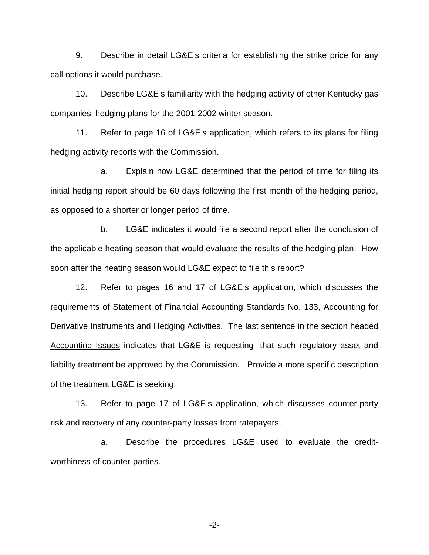9. Describe in detail LG&E s criteria for establishing the strike price for any call options it would purchase.

10. Describe LG&E s familiarity with the hedging activity of other Kentucky gas companies hedging plans for the 2001-2002 winter season.

11. Refer to page 16 of LG&E s application, which refers to its plans for filing hedging activity reports with the Commission.

a. Explain how LG&E determined that the period of time for filing its initial hedging report should be 60 days following the first month of the hedging period, as opposed to a shorter or longer period of time.

b. LG&E indicates it would file a second report after the conclusion of the applicable heating season that would evaluate the results of the hedging plan. How soon after the heating season would LG&E expect to file this report?

12. Refer to pages 16 and 17 of LG&E s application, which discusses the requirements of Statement of Financial Accounting Standards No. 133, Accounting for Derivative Instruments and Hedging Activities. The last sentence in the section headed Accounting Issues indicates that LG&E is requesting that such regulatory asset and liability treatment be approved by the Commission. Provide a more specific description of the treatment LG&E is seeking.

13. Refer to page 17 of LG&E s application, which discusses counter-party risk and recovery of any counter-party losses from ratepayers.

a. Describe the procedures LG&E used to evaluate the creditworthiness of counter-parties.

-2-